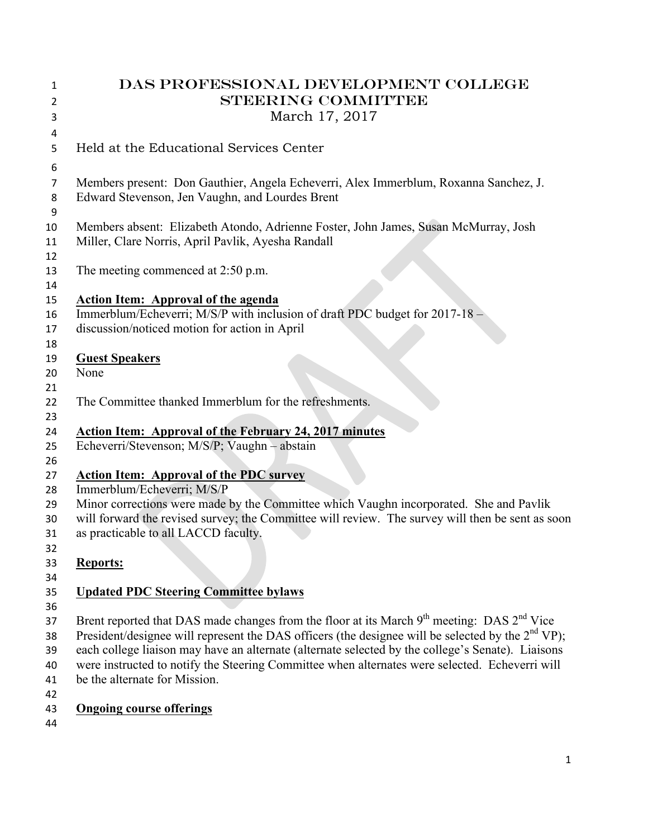| 1<br>2   | DAS PROFESSIONAL DEVELOPMENT COLLEGE<br><b>STEERING COMMITTEE</b>                                    |
|----------|------------------------------------------------------------------------------------------------------|
| 3        | March 17, 2017                                                                                       |
| 4<br>5   | Held at the Educational Services Center                                                              |
| 6        |                                                                                                      |
| 7        | Members present: Don Gauthier, Angela Echeverri, Alex Immerblum, Roxanna Sanchez, J.                 |
| 8<br>9   | Edward Stevenson, Jen Vaughn, and Lourdes Brent                                                      |
| 10       | Members absent: Elizabeth Atondo, Adrienne Foster, John James, Susan McMurray, Josh                  |
| 11       | Miller, Clare Norris, April Pavlik, Ayesha Randall                                                   |
| 12       |                                                                                                      |
| 13       | The meeting commenced at 2:50 p.m.                                                                   |
| 14       |                                                                                                      |
| 15       | <b>Action Item: Approval of the agenda</b>                                                           |
| 16       | Immerblum/Echeverri; M/S/P with inclusion of draft PDC budget for 2017-18 -                          |
| 17       | discussion/noticed motion for action in April                                                        |
| 18       |                                                                                                      |
| 19       | <b>Guest Speakers</b>                                                                                |
| 20       | None                                                                                                 |
| 21       |                                                                                                      |
| 22       | The Committee thanked Immerblum for the refreshments.                                                |
| 23       |                                                                                                      |
| 24       | <b>Action Item: Approval of the February 24, 2017 minutes</b>                                        |
| 25       | Echeverri/Stevenson; M/S/P; Vaughn - abstain                                                         |
| 26       |                                                                                                      |
| 27       | <b>Action Item: Approval of the PDC survey</b>                                                       |
| 28       | Immerblum/Echeverri; M/S/P                                                                           |
| 29       | Minor corrections were made by the Committee which Vaughn incorporated. She and Pavlik               |
| 30       | will forward the revised survey; the Committee will review. The survey will then be sent as soon     |
| 31       | as practicable to all LACCD faculty.                                                                 |
| 32       |                                                                                                      |
| 33<br>34 | <b>Reports:</b>                                                                                      |
| 35       | <b>Updated PDC Steering Committee bylaws</b>                                                         |
| 36       |                                                                                                      |
| 37       | Brent reported that DAS made changes from the floor at its March $9th$ meeting: DAS $2nd$ Vice       |
| 38       | President/designee will represent the DAS officers (the designee will be selected by the $2nd VP$ ); |
| 39       | each college liaison may have an alternate (alternate selected by the college's Senate). Liaisons    |
| 40       | were instructed to notify the Steering Committee when alternates were selected. Echeverri will       |
| 41       | be the alternate for Mission.                                                                        |
| 42       |                                                                                                      |
| 43       | <b>Ongoing course offerings</b>                                                                      |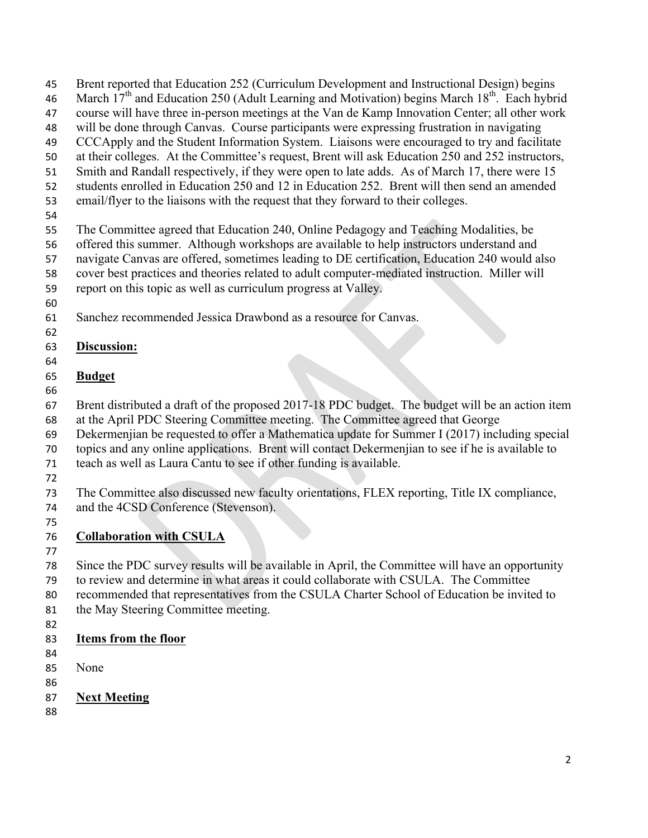Brent reported that Education 252 (Curriculum Development and Instructional Design) begins 46 March  $17<sup>th</sup>$  and Education 250 (Adult Learning and Motivation) begins March  $18<sup>th</sup>$ . Each hybrid course will have three in-person meetings at the Van de Kamp Innovation Center; all other work will be done through Canvas. Course participants were expressing frustration in navigating CCCApply and the Student Information System. Liaisons were encouraged to try and facilitate at their colleges. At the Committee's request, Brent will ask Education 250 and 252 instructors, Smith and Randall respectively, if they were open to late adds. As of March 17, there were 15 students enrolled in Education 250 and 12 in Education 252. Brent will then send an amended email/flyer to the liaisons with the request that they forward to their colleges.

The Committee agreed that Education 240, Online Pedagogy and Teaching Modalities, be

offered this summer. Although workshops are available to help instructors understand and

navigate Canvas are offered, sometimes leading to DE certification, Education 240 would also

cover best practices and theories related to adult computer-mediated instruction. Miller will

report on this topic as well as curriculum progress at Valley.

Sanchez recommended Jessica Drawbond as a resource for Canvas.

### **Discussion:**

#### **Budget**

Brent distributed a draft of the proposed 2017-18 PDC budget. The budget will be an action item

at the April PDC Steering Committee meeting. The Committee agreed that George

Dekermenjian be requested to offer a Mathematica update for Summer I (2017) including special

topics and any online applications. Brent will contact Dekermenjian to see if he is available to

- teach as well as Laura Cantu to see if other funding is available.
- 

 The Committee also discussed new faculty orientations, FLEX reporting, Title IX compliance, and the 4CSD Conference (Stevenson).

## **Collaboration with CSULA**

 Since the PDC survey results will be available in April, the Committee will have an opportunity to review and determine in what areas it could collaborate with CSULA. The Committee

recommended that representatives from the CSULA Charter School of Education be invited to

- the May Steering Committee meeting.
- 

### **Items from the floor**

- 
- None
- 
- **Next Meeting**
-